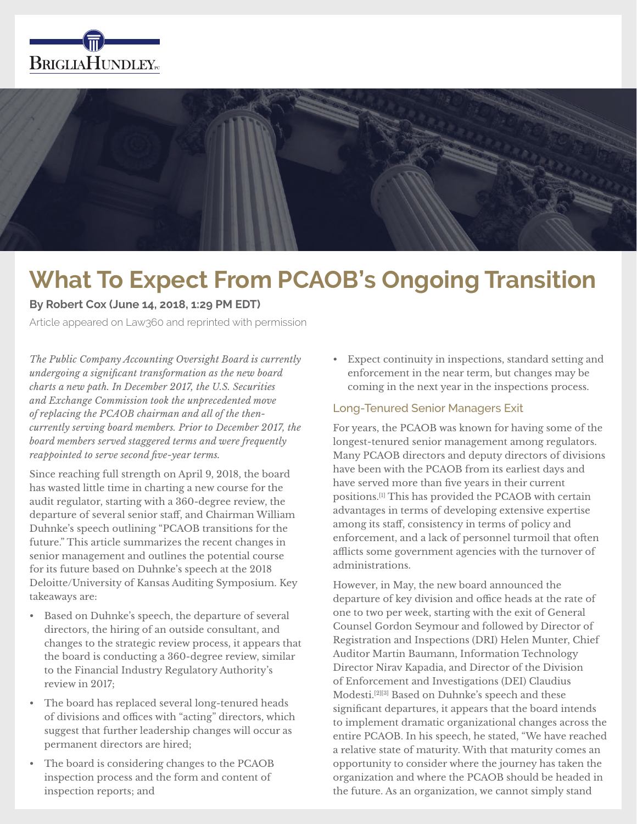



# **What To Expect From PCAOB's Ongoing Transition**

**By Robert Cox (June 14, 2018, 1:29 PM EDT)**

Article appeared on Law360 and reprinted with permission

*The Public Company Accounting Oversight Board is currently undergoing a significant transformation as the new board charts a new path. In December 2017, the U.S. Securities and Exchange Commission took the unprecedented move of replacing the PCAOB chairman and all of the thencurrently serving board members. Prior to December 2017, the board members served staggered terms and were frequently reappointed to serve second five-year terms.*

Since reaching full strength on April 9, 2018, the board has wasted little time in charting a new course for the audit regulator, starting with a 360-degree review, the departure of several senior staff, and Chairman William Duhnke's speech outlining "PCAOB transitions for the future." This article summarizes the recent changes in senior management and outlines the potential course for its future based on Duhnke's speech at the 2018 Deloitte/University of Kansas Auditing Symposium. Key takeaways are:

- Based on Duhnke's speech, the departure of several directors, the hiring of an outside consultant, and changes to the strategic review process, it appears that the board is conducting a 360-degree review, similar to the Financial Industry Regulatory Authority's review in 2017;
- The board has replaced several long-tenured heads of divisions and offices with "acting" directors, which suggest that further leadership changes will occur as permanent directors are hired;
- The board is considering changes to the PCAOB inspection process and the form and content of inspection reports; and

• Expect continuity in inspections, standard setting and enforcement in the near term, but changes may be coming in the next year in the inspections process.

# Long-Tenured Senior Managers Exit

For years, the PCAOB was known for having some of the longest-tenured senior management among regulators. Many PCAOB directors and deputy directors of divisions have been with the PCAOB from its earliest days and have served more than five years in their current positions.[1] This has provided the PCAOB with certain advantages in terms of developing extensive expertise among its staff, consistency in terms of policy and enforcement, and a lack of personnel turmoil that often afflicts some government agencies with the turnover of administrations.

However, in May, the new board announced the departure of key division and office heads at the rate of one to two per week, starting with the exit of General Counsel Gordon Seymour and followed by Director of Registration and Inspections (DRI) Helen Munter, Chief Auditor Martin Baumann, Information Technology Director Nirav Kapadia, and Director of the Division of Enforcement and Investigations (DEI) Claudius Modesti.[2][3] Based on Duhnke's speech and these significant departures, it appears that the board intends to implement dramatic organizational changes across the entire PCAOB. In his speech, he stated, "We have reached a relative state of maturity. With that maturity comes an opportunity to consider where the journey has taken the organization and where the PCAOB should be headed in the future. As an organization, we cannot simply stand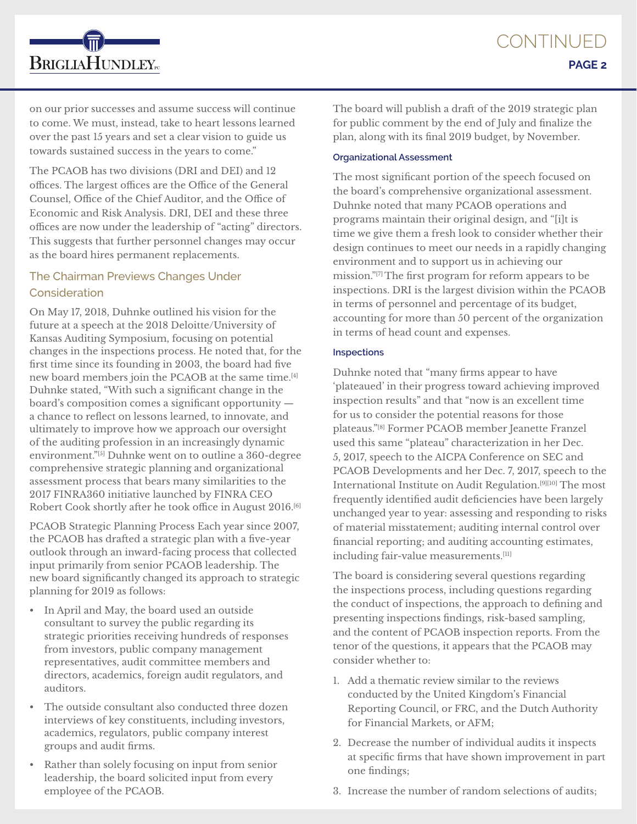on our prior successes and assume success will continue to come. We must, instead, take to heart lessons learned over the past 15 years and set a clear vision to guide us towards sustained success in the years to come."

**BRIGLIAHUNDLEY**<sub>rc</sub>

The PCAOB has two divisions (DRI and DEI) and 12 offices. The largest offices are the Office of the General Counsel, Office of the Chief Auditor, and the Office of Economic and Risk Analysis. DRI, DEI and these three offices are now under the leadership of "acting" directors. This suggests that further personnel changes may occur as the board hires permanent replacements.

# The Chairman Previews Changes Under **Consideration**

On May 17, 2018, Duhnke outlined his vision for the future at a speech at the 2018 Deloitte/University of Kansas Auditing Symposium, focusing on potential changes in the inspections process. He noted that, for the first time since its founding in 2003, the board had five new board members join the PCAOB at the same time.[4] Duhnke stated, "With such a significant change in the board's composition comes a significant opportunity a chance to reflect on lessons learned, to innovate, and ultimately to improve how we approach our oversight of the auditing profession in an increasingly dynamic environment."[5] Duhnke went on to outline a 360-degree comprehensive strategic planning and organizational assessment process that bears many similarities to the 2017 FINRA360 initiative launched by FINRA CEO Robert Cook shortly after he took office in August 2016.[6]

PCAOB Strategic Planning Process Each year since 2007, the PCAOB has drafted a strategic plan with a five-year outlook through an inward-facing process that collected input primarily from senior PCAOB leadership. The new board significantly changed its approach to strategic planning for 2019 as follows:

- In April and May, the board used an outside consultant to survey the public regarding its strategic priorities receiving hundreds of responses from investors, public company management representatives, audit committee members and directors, academics, foreign audit regulators, and auditors.
- The outside consultant also conducted three dozen interviews of key constituents, including investors, academics, regulators, public company interest groups and audit firms.
- Rather than solely focusing on input from senior leadership, the board solicited input from every employee of the PCAOB.

The board will publish a draft of the 2019 strategic plan for public comment by the end of July and finalize the plan, along with its final 2019 budget, by November.

## **Organizational Assessment**

The most significant portion of the speech focused on the board's comprehensive organizational assessment. Duhnke noted that many PCAOB operations and programs maintain their original design, and "[i]t is time we give them a fresh look to consider whether their design continues to meet our needs in a rapidly changing environment and to support us in achieving our mission."[7] The first program for reform appears to be inspections. DRI is the largest division within the PCAOB in terms of personnel and percentage of its budget, accounting for more than 50 percent of the organization in terms of head count and expenses.

#### **Inspections**

Duhnke noted that "many firms appear to have 'plateaued' in their progress toward achieving improved inspection results" and that "now is an excellent time for us to consider the potential reasons for those plateaus."[8] Former PCAOB member Jeanette Franzel used this same "plateau" characterization in her Dec. 5, 2017, speech to the AICPA Conference on SEC and PCAOB Developments and her Dec. 7, 2017, speech to the International Institute on Audit Regulation.[9][10] The most frequently identified audit deficiencies have been largely unchanged year to year: assessing and responding to risks of material misstatement; auditing internal control over financial reporting; and auditing accounting estimates, including fair-value measurements.[11]

The board is considering several questions regarding the inspections process, including questions regarding the conduct of inspections, the approach to defining and presenting inspections findings, risk-based sampling, and the content of PCAOB inspection reports. From the tenor of the questions, it appears that the PCAOB may consider whether to:

- 1. Add a thematic review similar to the reviews conducted by the United Kingdom's Financial Reporting Council, or FRC, and the Dutch Authority for Financial Markets, or AFM;
- 2. Decrease the number of individual audits it inspects at specific firms that have shown improvement in part one findings;
- 3. Increase the number of random selections of audits;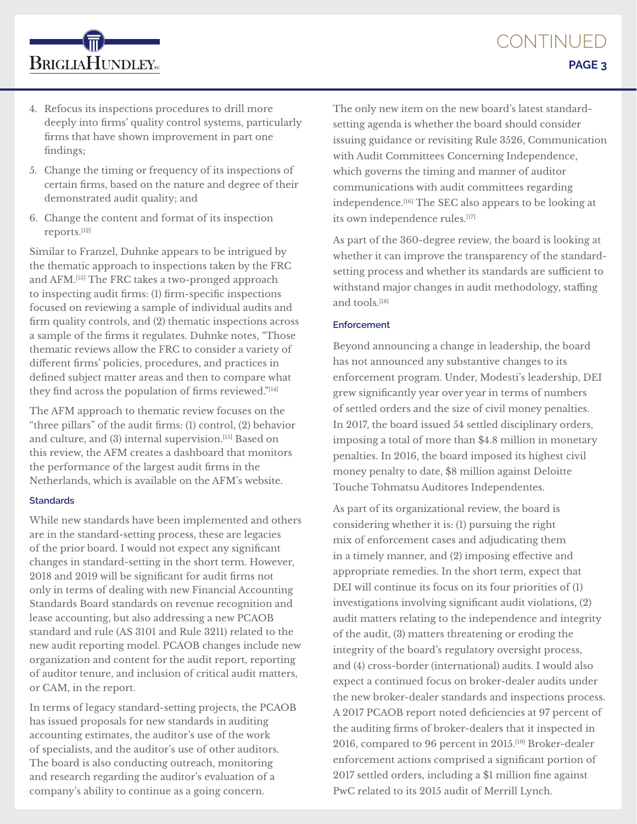

4. Refocus its inspections procedures to drill more deeply into firms' quality control systems, particularly firms that have shown improvement in part one findings;

**BRIGLIAHUNDLEY**<sub>rc</sub>

- 5. Change the timing or frequency of its inspections of certain firms, based on the nature and degree of their demonstrated audit quality; and
- 6. Change the content and format of its inspection reports.[12]

Similar to Franzel, Duhnke appears to be intrigued by the thematic approach to inspections taken by the FRC and AFM.[13] The FRC takes a two-pronged approach to inspecting audit firms: (1) firm-specific inspections focused on reviewing a sample of individual audits and firm quality controls, and (2) thematic inspections across a sample of the firms it regulates. Duhnke notes, "Those thematic reviews allow the FRC to consider a variety of different firms' policies, procedures, and practices in defined subject matter areas and then to compare what they find across the population of firms reviewed."[14]

The AFM approach to thematic review focuses on the "three pillars" of the audit firms: (1) control, (2) behavior and culture, and (3) internal supervision.[15] Based on this review, the AFM creates a dashboard that monitors the performance of the largest audit firms in the Netherlands, which is available on the AFM's website.

## **Standards**

While new standards have been implemented and others are in the standard-setting process, these are legacies of the prior board. I would not expect any significant changes in standard-setting in the short term. However, 2018 and 2019 will be significant for audit firms not only in terms of dealing with new Financial Accounting Standards Board standards on revenue recognition and lease accounting, but also addressing a new PCAOB standard and rule (AS 3101 and Rule 3211) related to the new audit reporting model. PCAOB changes include new organization and content for the audit report, reporting of auditor tenure, and inclusion of critical audit matters, or CAM, in the report.

In terms of legacy standard-setting projects, the PCAOB has issued proposals for new standards in auditing accounting estimates, the auditor's use of the work of specialists, and the auditor's use of other auditors. The board is also conducting outreach, monitoring and research regarding the auditor's evaluation of a company's ability to continue as a going concern.

The only new item on the new board's latest standardsetting agenda is whether the board should consider issuing guidance or revisiting Rule 3526, Communication with Audit Committees Concerning Independence, which governs the timing and manner of auditor communications with audit committees regarding independence.[16] The SEC also appears to be looking at its own independence rules.<sup>[17]</sup>

As part of the 360-degree review, the board is looking at whether it can improve the transparency of the standardsetting process and whether its standards are sufficient to withstand major changes in audit methodology, staffing and tools.[18]

## **Enforcement**

Beyond announcing a change in leadership, the board has not announced any substantive changes to its enforcement program. Under, Modesti's leadership, DEI grew significantly year over year in terms of numbers of settled orders and the size of civil money penalties. In 2017, the board issued 54 settled disciplinary orders, imposing a total of more than \$4.8 million in monetary penalties. In 2016, the board imposed its highest civil money penalty to date, \$8 million against Deloitte Touche Tohmatsu Auditores Independentes.

As part of its organizational review, the board is considering whether it is: (1) pursuing the right mix of enforcement cases and adjudicating them in a timely manner, and (2) imposing effective and appropriate remedies. In the short term, expect that DEI will continue its focus on its four priorities of (1) investigations involving significant audit violations, (2) audit matters relating to the independence and integrity of the audit, (3) matters threatening or eroding the integrity of the board's regulatory oversight process, and (4) cross-border (international) audits. I would also expect a continued focus on broker-dealer audits under the new broker-dealer standards and inspections process. A 2017 PCAOB report noted deficiencies at 97 percent of the auditing firms of broker-dealers that it inspected in 2016, compared to 96 percent in 2015.[19] Broker-dealer enforcement actions comprised a significant portion of 2017 settled orders, including a \$1 million fine against PwC related to its 2015 audit of Merrill Lynch.